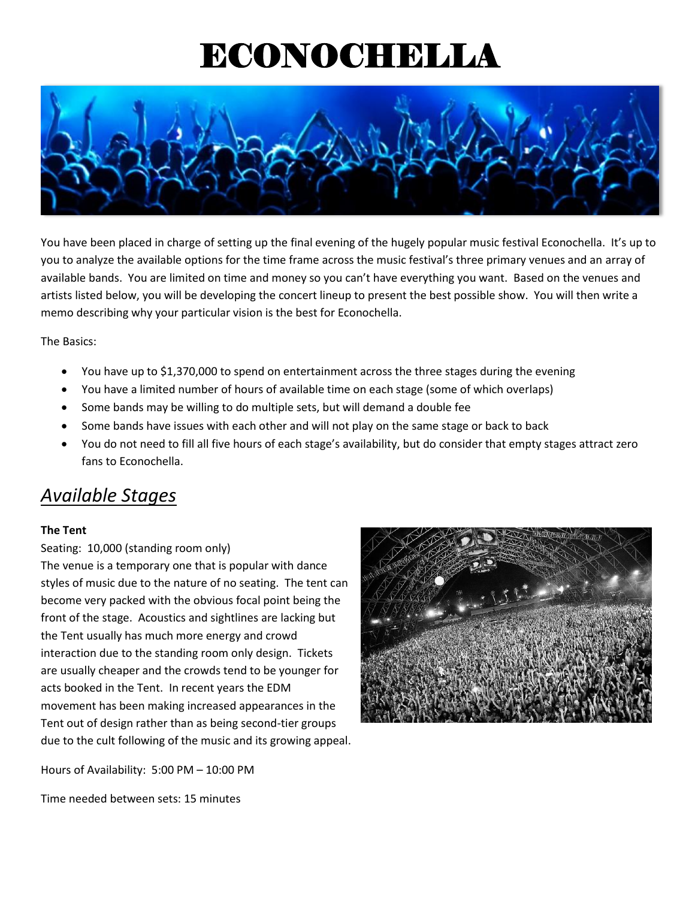# ECONOCHELLA



You have been placed in charge of setting up the final evening of the hugely popular music festival Econochella. It's up to you to analyze the available options for the time frame across the music festival's three primary venues and an array of available bands. You are limited on time and money so you can't have everything you want. Based on the venues and artists listed below, you will be developing the concert lineup to present the best possible show. You will then write a memo describing why your particular vision is the best for Econochella.

The Basics:

- You have up to \$1,370,000 to spend on entertainment across the three stages during the evening
- You have a limited number of hours of available time on each stage (some of which overlaps)
- Some bands may be willing to do multiple sets, but will demand a double fee
- Some bands have issues with each other and will not play on the same stage or back to back
- You do not need to fill all five hours of each stage's availability, but do consider that empty stages attract zero fans to Econochella.

# *Available Stages*

# **The Tent**

Seating: 10,000 (standing room only)

The venue is a temporary one that is popular with dance styles of music due to the nature of no seating. The tent can become very packed with the obvious focal point being the front of the stage. Acoustics and sightlines are lacking but the Tent usually has much more energy and crowd interaction due to the standing room only design. Tickets are usually cheaper and the crowds tend to be younger for acts booked in the Tent. In recent years the EDM movement has been making increased appearances in the Tent out of design rather than as being second-tier groups due to the cult following of the music and its growing appeal.

Hours of Availability: 5:00 PM – 10:00 PM

Time needed between sets: 15 minutes

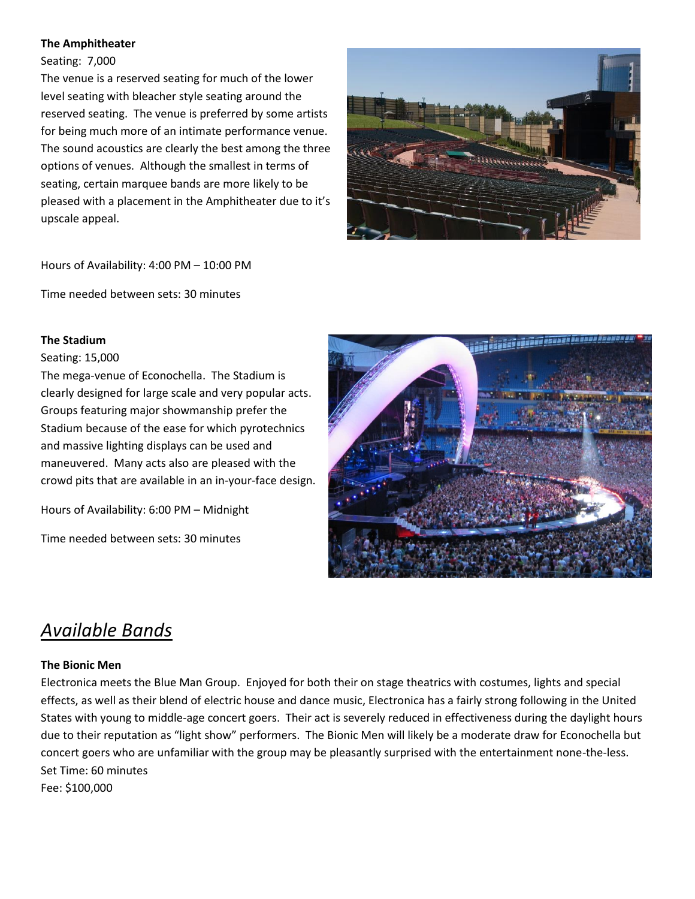# **The Amphitheater**

Seating: 7,000

The venue is a reserved seating for much of the lower level seating with bleacher style seating around the reserved seating. The venue is preferred by some artists for being much more of an intimate performance venue. The sound acoustics are clearly the best among the three options of venues. Although the smallest in terms of seating, certain marquee bands are more likely to be pleased with a placement in the Amphitheater due to it's upscale appeal.



Hours of Availability: 4:00 PM – 10:00 PM

Time needed between sets: 30 minutes

#### **The Stadium**

Seating: 15,000

The mega-venue of Econochella. The Stadium is clearly designed for large scale and very popular acts. Groups featuring major showmanship prefer the Stadium because of the ease for which pyrotechnics and massive lighting displays can be used and maneuvered. Many acts also are pleased with the crowd pits that are available in an in-your-face design.

Hours of Availability: 6:00 PM – Midnight

Time needed between sets: 30 minutes



# *Available Bands*

#### **The Bionic Men**

Electronica meets the Blue Man Group. Enjoyed for both their on stage theatrics with costumes, lights and special effects, as well as their blend of electric house and dance music, Electronica has a fairly strong following in the United States with young to middle-age concert goers. Their act is severely reduced in effectiveness during the daylight hours due to their reputation as "light show" performers. The Bionic Men will likely be a moderate draw for Econochella but concert goers who are unfamiliar with the group may be pleasantly surprised with the entertainment none-the-less. Set Time: 60 minutes Fee: \$100,000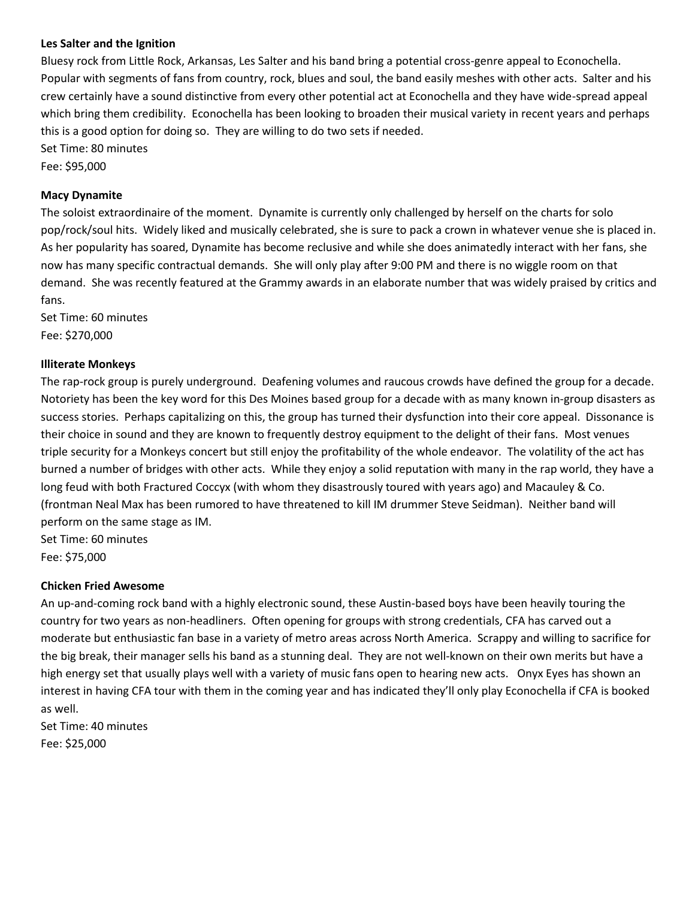#### **Les Salter and the Ignition**

Bluesy rock from Little Rock, Arkansas, Les Salter and his band bring a potential cross-genre appeal to Econochella. Popular with segments of fans from country, rock, blues and soul, the band easily meshes with other acts. Salter and his crew certainly have a sound distinctive from every other potential act at Econochella and they have wide-spread appeal which bring them credibility. Econochella has been looking to broaden their musical variety in recent years and perhaps this is a good option for doing so. They are willing to do two sets if needed.

Set Time: 80 minutes

Fee: \$95,000

# **Macy Dynamite**

The soloist extraordinaire of the moment. Dynamite is currently only challenged by herself on the charts for solo pop/rock/soul hits. Widely liked and musically celebrated, she is sure to pack a crown in whatever venue she is placed in. As her popularity has soared, Dynamite has become reclusive and while she does animatedly interact with her fans, she now has many specific contractual demands. She will only play after 9:00 PM and there is no wiggle room on that demand. She was recently featured at the Grammy awards in an elaborate number that was widely praised by critics and fans.

Set Time: 60 minutes Fee: \$270,000

# **Illiterate Monkeys**

The rap-rock group is purely underground. Deafening volumes and raucous crowds have defined the group for a decade. Notoriety has been the key word for this Des Moines based group for a decade with as many known in-group disasters as success stories. Perhaps capitalizing on this, the group has turned their dysfunction into their core appeal. Dissonance is their choice in sound and they are known to frequently destroy equipment to the delight of their fans. Most venues triple security for a Monkeys concert but still enjoy the profitability of the whole endeavor. The volatility of the act has burned a number of bridges with other acts. While they enjoy a solid reputation with many in the rap world, they have a long feud with both Fractured Coccyx (with whom they disastrously toured with years ago) and Macauley & Co. (frontman Neal Max has been rumored to have threatened to kill IM drummer Steve Seidman). Neither band will perform on the same stage as IM.

Set Time: 60 minutes Fee: \$75,000

#### **Chicken Fried Awesome**

An up-and-coming rock band with a highly electronic sound, these Austin-based boys have been heavily touring the country for two years as non-headliners. Often opening for groups with strong credentials, CFA has carved out a moderate but enthusiastic fan base in a variety of metro areas across North America. Scrappy and willing to sacrifice for the big break, their manager sells his band as a stunning deal. They are not well-known on their own merits but have a high energy set that usually plays well with a variety of music fans open to hearing new acts. Onyx Eyes has shown an interest in having CFA tour with them in the coming year and has indicated they'll only play Econochella if CFA is booked as well.

Set Time: 40 minutes Fee: \$25,000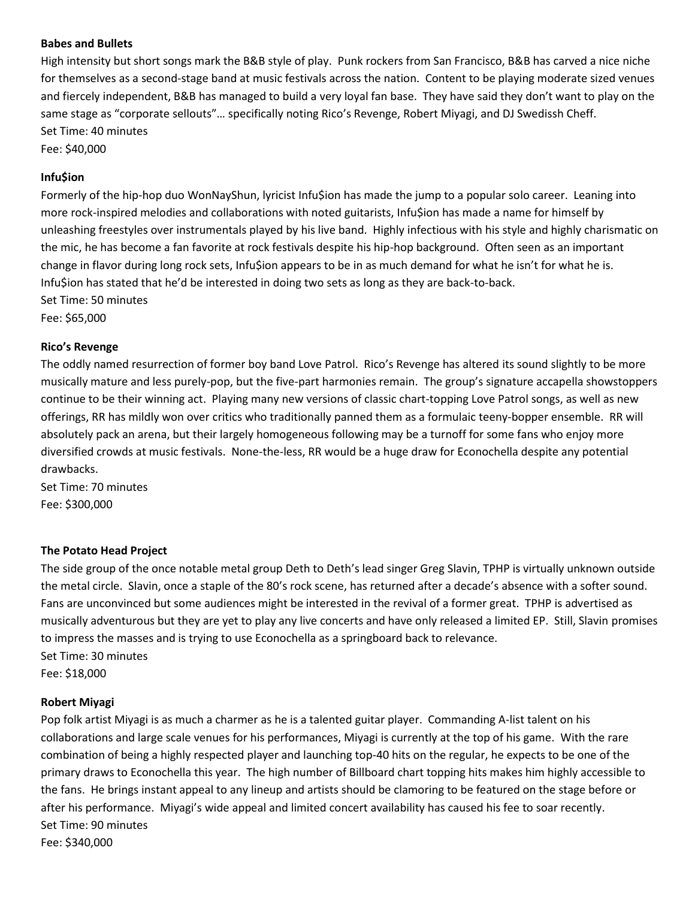# **Babes and Bullets**

High intensity but short songs mark the B&B style of play. Punk rockers from San Francisco, B&B has carved a nice niche for themselves as a second-stage band at music festivals across the nation. Content to be playing moderate sized venues and fiercely independent, B&B has managed to build a very loyal fan base. They have said they don't want to play on the same stage as "corporate sellouts"… specifically noting Rico's Revenge, Robert Miyagi, and DJ Swedissh Cheff. Set Time: 40 minutes

Fee: \$40,000

#### **Infu\$ion**

Formerly of the hip-hop duo WonNayShun, lyricist Infu\$ion has made the jump to a popular solo career. Leaning into more rock-inspired melodies and collaborations with noted guitarists, Infu\$ion has made a name for himself by unleashing freestyles over instrumentals played by his live band. Highly infectious with his style and highly charismatic on the mic, he has become a fan favorite at rock festivals despite his hip-hop background. Often seen as an important change in flavor during long rock sets, Infu\$ion appears to be in as much demand for what he isn't for what he is. Infu\$ion has stated that he'd be interested in doing two sets as long as they are back-to-back. Set Time: 50 minutes

Fee: \$65,000

# **Rico's Revenge**

The oddly named resurrection of former boy band Love Patrol. Rico's Revenge has altered its sound slightly to be more musically mature and less purely-pop, but the five-part harmonies remain. The group's signature accapella showstoppers continue to be their winning act. Playing many new versions of classic chart-topping Love Patrol songs, as well as new offerings, RR has mildly won over critics who traditionally panned them as a formulaic teeny-bopper ensemble. RR will absolutely pack an arena, but their largely homogeneous following may be a turnoff for some fans who enjoy more diversified crowds at music festivals. None-the-less, RR would be a huge draw for Econochella despite any potential drawbacks.

Set Time: 70 minutes Fee: \$300,000

#### **The Potato Head Project**

The side group of the once notable metal group Deth to Deth's lead singer Greg Slavin, TPHP is virtually unknown outside the metal circle. Slavin, once a staple of the 80's rock scene, has returned after a decade's absence with a softer sound. Fans are unconvinced but some audiences might be interested in the revival of a former great. TPHP is advertised as musically adventurous but they are yet to play any live concerts and have only released a limited EP. Still, Slavin promises to impress the masses and is trying to use Econochella as a springboard back to relevance. Set Time: 30 minutes

Fee: \$18,000

#### **Robert Miyagi**

Pop folk artist Miyagi is as much a charmer as he is a talented guitar player. Commanding A-list talent on his collaborations and large scale venues for his performances, Miyagi is currently at the top of his game. With the rare combination of being a highly respected player and launching top-40 hits on the regular, he expects to be one of the primary draws to Econochella this year. The high number of Billboard chart topping hits makes him highly accessible to the fans. He brings instant appeal to any lineup and artists should be clamoring to be featured on the stage before or after his performance. Miyagi's wide appeal and limited concert availability has caused his fee to soar recently. Set Time: 90 minutes Fee: \$340,000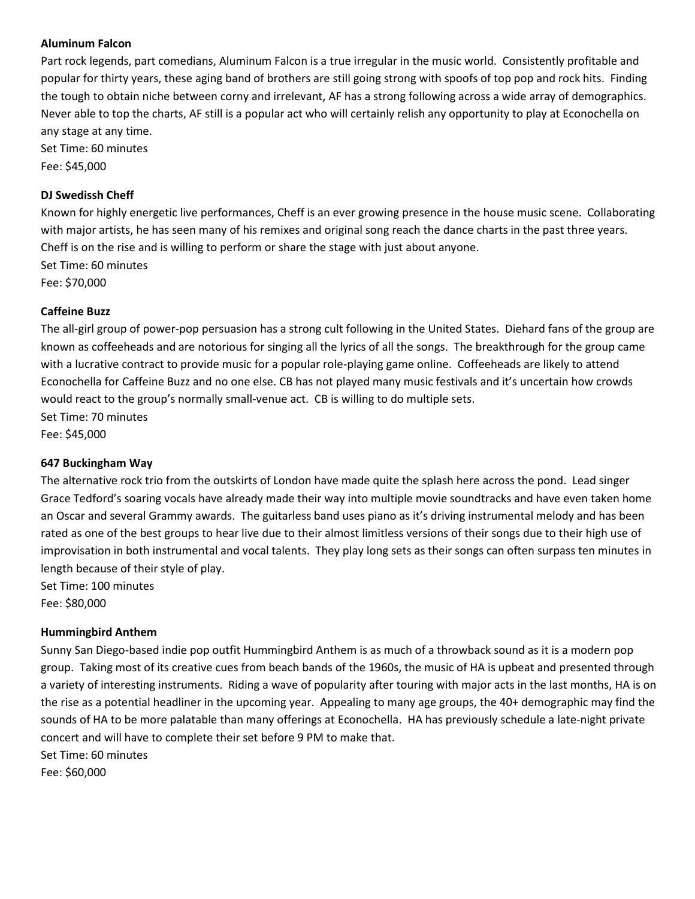#### **Aluminum Falcon**

Part rock legends, part comedians, Aluminum Falcon is a true irregular in the music world. Consistently profitable and popular for thirty years, these aging band of brothers are still going strong with spoofs of top pop and rock hits. Finding the tough to obtain niche between corny and irrelevant, AF has a strong following across a wide array of demographics. Never able to top the charts, AF still is a popular act who will certainly relish any opportunity to play at Econochella on any stage at any time.

Set Time: 60 minutes Fee: \$45,000

#### **DJ Swedissh Cheff**

Known for highly energetic live performances, Cheff is an ever growing presence in the house music scene. Collaborating with major artists, he has seen many of his remixes and original song reach the dance charts in the past three years. Cheff is on the rise and is willing to perform or share the stage with just about anyone. Set Time: 60 minutes Fee: \$70,000

#### **Caffeine Buzz**

The all-girl group of power-pop persuasion has a strong cult following in the United States. Diehard fans of the group are known as coffeeheads and are notorious for singing all the lyrics of all the songs. The breakthrough for the group came with a lucrative contract to provide music for a popular role-playing game online. Coffeeheads are likely to attend Econochella for Caffeine Buzz and no one else. CB has not played many music festivals and it's uncertain how crowds would react to the group's normally small-venue act. CB is willing to do multiple sets. Set Time: 70 minutes Fee: \$45,000

#### **647 Buckingham Way**

The alternative rock trio from the outskirts of London have made quite the splash here across the pond. Lead singer Grace Tedford's soaring vocals have already made their way into multiple movie soundtracks and have even taken home an Oscar and several Grammy awards. The guitarless band uses piano as it's driving instrumental melody and has been rated as one of the best groups to hear live due to their almost limitless versions of their songs due to their high use of improvisation in both instrumental and vocal talents. They play long sets as their songs can often surpass ten minutes in length because of their style of play.

Set Time: 100 minutes Fee: \$80,000

#### **Hummingbird Anthem**

Sunny San Diego-based indie pop outfit Hummingbird Anthem is as much of a throwback sound as it is a modern pop group. Taking most of its creative cues from beach bands of the 1960s, the music of HA is upbeat and presented through a variety of interesting instruments. Riding a wave of popularity after touring with major acts in the last months, HA is on the rise as a potential headliner in the upcoming year. Appealing to many age groups, the 40+ demographic may find the sounds of HA to be more palatable than many offerings at Econochella. HA has previously schedule a late-night private concert and will have to complete their set before 9 PM to make that.

Set Time: 60 minutes Fee: \$60,000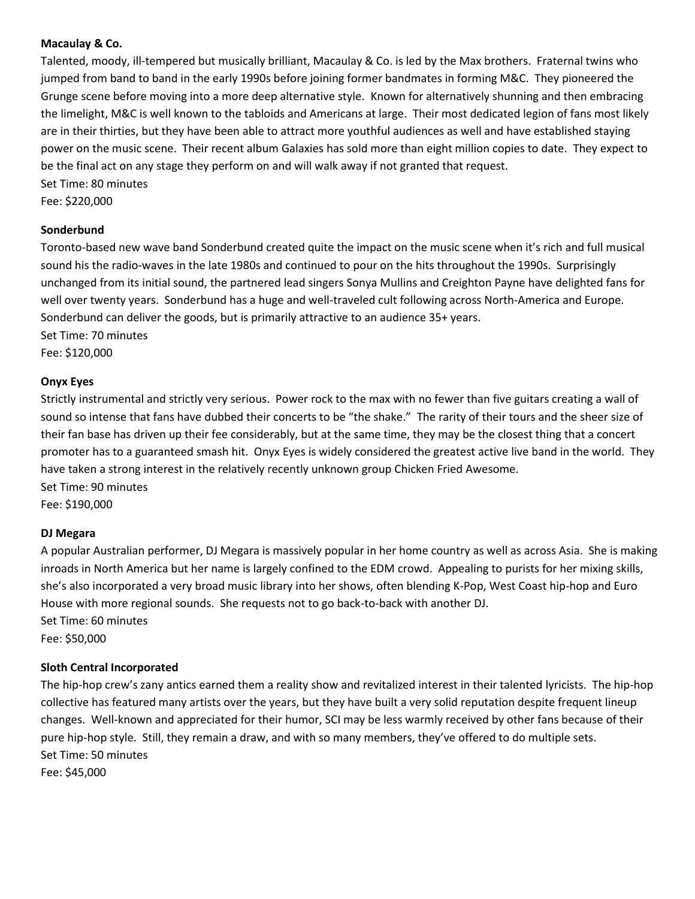# **Macaulay & Co.**

Talented, moody, ill-tempered but musically brilliant, Macaulay & Co. is led by the Max brothers. Fraternal twins who jumped from band to band in the early 1990s before joining former bandmates in forming M&C. They pioneered the Grunge scene before moving into a more deep alternative style. Known for alternatively shunning and then embracing the limelight, M&C is well known to the tabloids and Americans at large. Their most dedicated legion of fans most likely are in their thirties, but they have been able to attract more youthful audiences as well and have established staying power on the music scene. Their recent album Galaxies has sold more than eight million copies to date. They expect to be the final act on any stage they perform on and will walk away if not granted that request. Set Time: 80 minutes

Fee: \$220,000

### **Sonderbund**

Toronto-based new wave band Sonderbund created quite the impact on the music scene when it's rich and full musical sound his the radio-waves in the late 1980s and continued to pour on the hits throughout the 1990s. Surprisingly unchanged from its initial sound, the partnered lead singers Sonya Mullins and Creighton Payne have delighted fans for well over twenty years. Sonderbund has a huge and well-traveled cult following across North-America and Europe. Sonderbund can deliver the goods, but is primarily attractive to an audience 35+ years.

Set Time: 70 minutes Fee: \$120,000

#### **Onyx Eyes**

Strictly instrumental and strictly very serious. Power rock to the max with no fewer than five guitars creating a wall of sound so intense that fans have dubbed their concerts to be "the shake." The rarity of their tours and the sheer size of their fan base has driven up their fee considerably, but at the same time, they may be the closest thing that a concert promoter has to a guaranteed smash hit. Onyx Eyes is widely considered the greatest active live band in the world. They have taken a strong interest in the relatively recently unknown group Chicken Fried Awesome. Set Time: 90 minutes

Fee: \$190,000

#### **DJ Megara**

A popular Australian performer, DJ Megara is massively popular in her home country as well as across Asia. She is making inroads in North America but her name is largely confined to the EDM crowd. Appealing to purists for her mixing skills, she's also incorporated a very broad music library into her shows, often blending K-Pop, West Coast hip-hop and Euro House with more regional sounds. She requests not to go back-to-back with another DJ. Set Time: 60 minutes Fee: \$50,000

#### **Sloth Central Incorporated**

The hip-hop crew's zany antics earned them a reality show and revitalized interest in their talented lyricists. The hip-hop collective has featured many artists over the years, but they have built a very solid reputation despite frequent lineup changes. Well-known and appreciated for their humor, SCI may be less warmly received by other fans because of their pure hip-hop style. Still, they remain a draw, and with so many members, they've offered to do multiple sets. Set Time: 50 minutes Fee: \$45,000